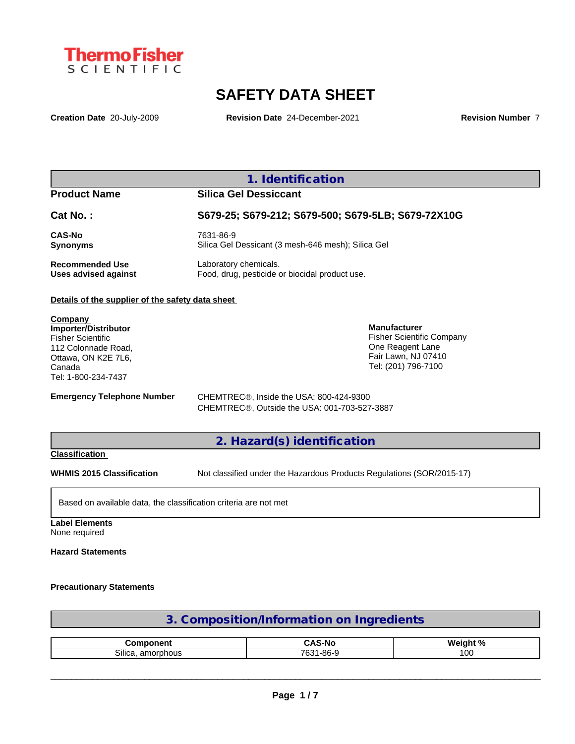

# **SAFETY DATA SHEET**

**Creation Date** 20-July-2009 **Revision Date** 24-December-2021 **Revision Number** 7

## **1. Identification**

## **Product Name Silica Gel Dessiccant**

| <b>Cat No.:</b>             | S679-25; S679-212; S679-500; S679-5LB; S679-72X10G |  |  |  |  |
|-----------------------------|----------------------------------------------------|--|--|--|--|
| <b>CAS-No</b>               | 7631-86-9                                          |  |  |  |  |
| <b>Synonyms</b>             | Silica Gel Dessicant (3 mesh-646 mesh); Silica Gel |  |  |  |  |
| <b>Recommended Use</b>      | Laboratory chemicals.                              |  |  |  |  |
| <b>Uses advised against</b> | Food, drug, pesticide or biocidal product use.     |  |  |  |  |

#### **Details of the supplier of the safety data sheet**

**Company Importer/Distributor** Fisher Scientific 112 Colonnade Road, Ottawa, ON K2E 7L6, Canada Tel: 1-800-234-7437

**Emergency Telephone Number** CHEMTREC<sup>®</sup>, Inside the USA: 800-424-9300

**Manufacturer**

Fisher Scientific Company One Reagent Lane Fair Lawn, NJ 07410 Tel: (201) 796-7100

CHEMTREC®, Outside the USA: 001-703-527-3887

### **2. Hazard(s) identification**

### **Classification**

**WHMIS 2015 Classification** Not classified under the Hazardous Products Regulations (SOR/2015-17)

Based on available data, the classification criteria are not met

## **Label Elements**

None required

### **Hazard Statements**

#### **Precautionary Statements**

| 3. Composition/Information on Ingredients |  |
|-------------------------------------------|--|
|                                           |  |

| $- 1 - 1$                           |                                                    | . n.<br>MA<br>--- |
|-------------------------------------|----------------------------------------------------|-------------------|
| $\sim$<br>SIIIC2<br>amorr<br>rnhous | 0C.<br>700 <sub>2</sub><br>n<br>:-סס-ו<br>w<br>. . | $\sim$<br>u       |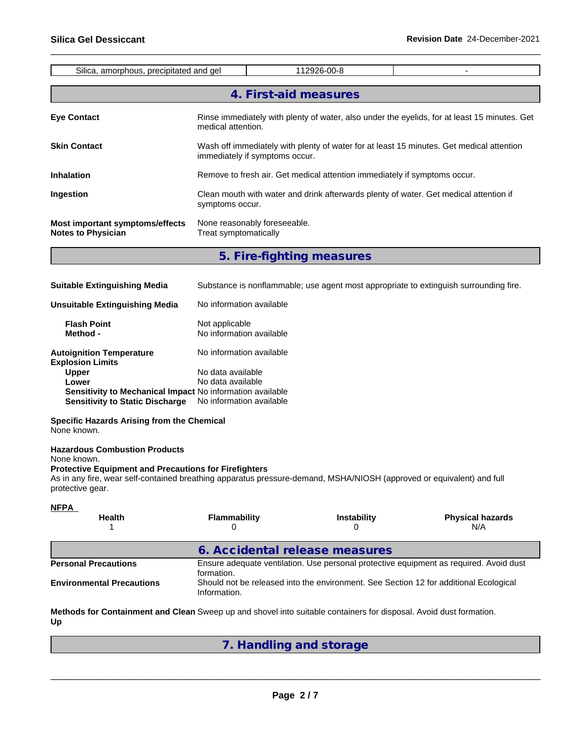| Silica, amorphous, precipitated and gel                      | 112926-00-8                                                                                                                |  |  |  |  |  |  |
|--------------------------------------------------------------|----------------------------------------------------------------------------------------------------------------------------|--|--|--|--|--|--|
|                                                              | 4. First-aid measures                                                                                                      |  |  |  |  |  |  |
| <b>Eye Contact</b>                                           | Rinse immediately with plenty of water, also under the eyelids, for at least 15 minutes. Get<br>medical attention.         |  |  |  |  |  |  |
| <b>Skin Contact</b>                                          | Wash off immediately with plenty of water for at least 15 minutes. Get medical attention<br>immediately if symptoms occur. |  |  |  |  |  |  |
| <b>Inhalation</b>                                            | Remove to fresh air. Get medical attention immediately if symptoms occur.                                                  |  |  |  |  |  |  |
| Ingestion                                                    | Clean mouth with water and drink afterwards plenty of water. Get medical attention if<br>symptoms occur.                   |  |  |  |  |  |  |
| Most important symptoms/effects<br><b>Notes to Physician</b> | None reasonably foreseeable.<br>Treat symptomatically                                                                      |  |  |  |  |  |  |
|                                                              | 5. Fire-fighting measures                                                                                                  |  |  |  |  |  |  |
| <b>Suitable Extinguishing Media</b>                          | Substance is nonflammable; use agent most appropriate to extinguish surrounding fire.                                      |  |  |  |  |  |  |

| Unsuitable Extinguishing Media                                   | No information available                   |
|------------------------------------------------------------------|--------------------------------------------|
| <b>Flash Point</b><br>Method -                                   | Not applicable<br>No information available |
| <b>Autoignition Temperature</b><br><b>Explosion Limits</b>       | No information available                   |
| <b>Upper</b>                                                     | No data available                          |
| Lower                                                            | No data available                          |
| <b>Sensitivity to Mechanical Impact No information available</b> |                                            |
| <b>Sensitivity to Static Discharge</b>                           | No information available                   |

#### **Specific Hazards Arising from the Chemical** None known.

**Hazardous Combustion Products**

None known.

#### **Protective Equipment and Precautions for Firefighters**

As in any fire, wear self-contained breathing apparatus pressure-demand, MSHA/NIOSH (approved or equivalent) and full protective gear.

| <b>NFPA</b><br><b>Health</b>     | <b>Flammability</b>                                                                                  | <b>Instability</b>                                                                    | <b>Physical hazards</b><br>N/A |  |  |
|----------------------------------|------------------------------------------------------------------------------------------------------|---------------------------------------------------------------------------------------|--------------------------------|--|--|
|                                  | 6. Accidental release measures                                                                       |                                                                                       |                                |  |  |
| <b>Personal Precautions</b>      | Ensure adequate ventilation. Use personal protective equipment as required. Avoid dust<br>formation. |                                                                                       |                                |  |  |
| <b>Environmental Precautions</b> | Information.                                                                                         | Should not be released into the environment. See Section 12 for additional Ecological |                                |  |  |

**Methods for Containment and Clean** Sweep up and shovel into suitable containers for disposal. Avoid dust formation. **Up**

## **7. Handling and storage**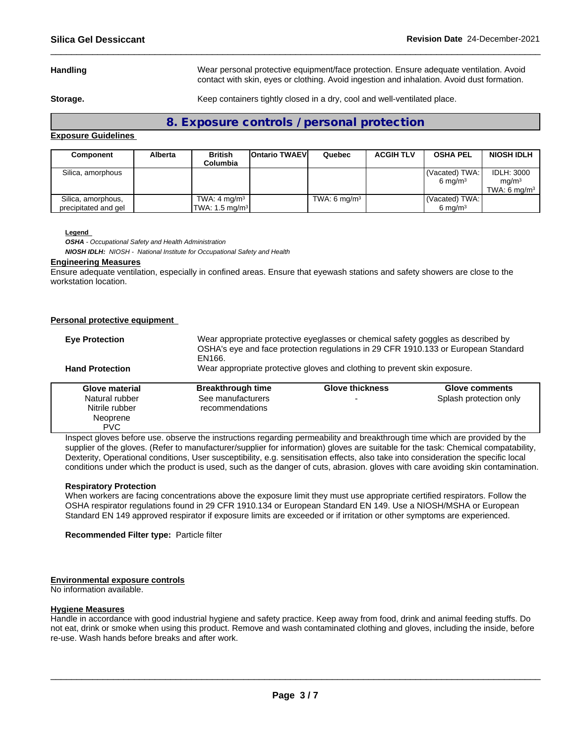**Handling** Wear personal protective equipment/face protection. Ensure adequate ventilation. Avoid contact with skin, eyes or clothing. Avoid ingestion and inhalation. Avoid dust formation.

**Storage.** Keep containers tightly closed in a dry, cool and well-ventilated place.

**8. Exposure controls / personal protection**

#### **Exposure Guidelines**

| Component                                  | <b>Alberta</b> | <b>British</b><br>Columbia                                      | <b>IOntario TWAEVI</b> | Quebec         | <b>ACGIH TLV</b> | <b>OSHA PEL</b>                        | <b>NIOSH IDLH</b>                                        |
|--------------------------------------------|----------------|-----------------------------------------------------------------|------------------------|----------------|------------------|----------------------------------------|----------------------------------------------------------|
| Silica, amorphous                          |                |                                                                 |                        |                |                  | (Vacated) TWA:<br>$6 \text{ mg/m}^3$   | <b>IDLH: 3000</b><br>ma/m <sup>3</sup><br>TWA: 6 $ma/m3$ |
| Silica, amorphous,<br>precipitated and gel |                | TWA: 4 mg/m <sup>3</sup><br>$\textsf{TWA: } 1.5 \text{ mg/m}^3$ |                        | TWA: 6 $mq/m3$ |                  | (Vacated) TWA: I<br>$6 \text{ ma/m}^3$ |                                                          |

#### **Legend**

*OSHA - Occupational Safety and Health Administration NIOSH IDLH: NIOSH - National Institute for Occupational Safety and Health*

#### **Engineering Measures**

Ensure adequate ventilation, especially in confined areas. Ensure that eyewash stations and safety showers are close to the workstation location.

#### **Personal protective equipment**

| <b>Eye Protection</b>                                                                               | Wear appropriate protective eyeglasses or chemical safety goggles as described by<br>OSHA's eye and face protection regulations in 29 CFR 1910.133 or European Standard<br>EN166. |                          |                        |  |  |  |  |
|-----------------------------------------------------------------------------------------------------|-----------------------------------------------------------------------------------------------------------------------------------------------------------------------------------|--------------------------|------------------------|--|--|--|--|
| Wear appropriate protective gloves and clothing to prevent skin exposure.<br><b>Hand Protection</b> |                                                                                                                                                                                   |                          |                        |  |  |  |  |
| Glove material                                                                                      | <b>Breakthrough time</b><br><b>Glove thickness</b><br>Glove comments                                                                                                              |                          |                        |  |  |  |  |
| Natural rubber<br>Nitrile rubber<br>Neoprene<br><b>PVC</b>                                          | See manufacturers<br>recommendations                                                                                                                                              | $\overline{\phantom{a}}$ | Splash protection only |  |  |  |  |

Inspect gloves before use. observe the instructions regarding permeability and breakthrough time which are provided by the supplier of the gloves. (Refer to manufacturer/supplier for information) gloves are suitable for the task: Chemical compatability, Dexterity, Operational conditions, User susceptibility, e.g. sensitisation effects, also take into consideration the specific local conditions under which the product is used, such as the danger of cuts, abrasion. gloves with care avoiding skin contamination.

#### **Respiratory Protection**

When workers are facing concentrations above the exposure limit they must use appropriate certified respirators. Follow the OSHA respirator regulations found in 29 CFR 1910.134 or European Standard EN 149. Use a NIOSH/MSHA or European Standard EN 149 approved respirator if exposure limits are exceeded or if irritation or other symptoms are experienced.

**Recommended Filter type:** Particle filter

#### **Environmental exposure controls**

No information available.

#### **Hygiene Measures**

Handle in accordance with good industrial hygiene and safety practice. Keep away from food, drink and animal feeding stuffs. Do not eat, drink or smoke when using this product. Remove and wash contaminated clothing and gloves, including the inside, before re-use. Wash hands before breaks and after work.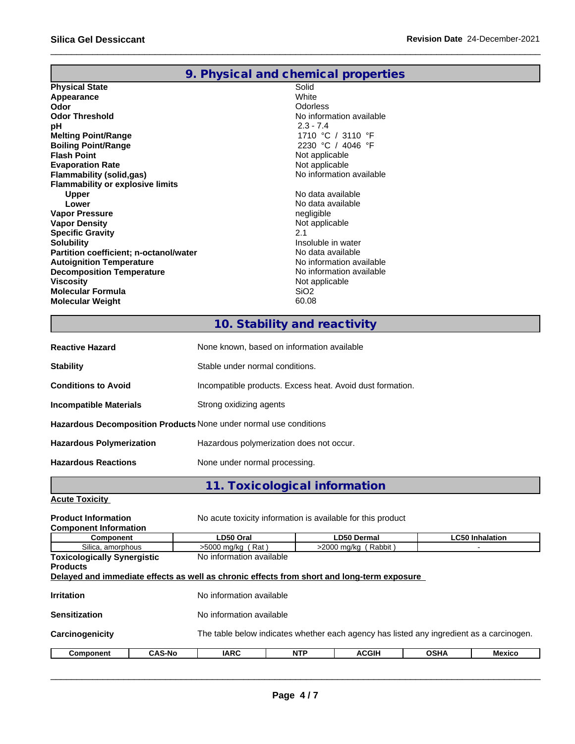|                                         | 9. Physical and chemical properties |
|-----------------------------------------|-------------------------------------|
| <b>Physical State</b>                   | Solid                               |
| Appearance                              | White                               |
| Odor                                    | <b>Odorless</b>                     |
| <b>Odor Threshold</b>                   | No information available            |
| рH                                      | $2.3 - 7.4$                         |
| <b>Melting Point/Range</b>              | 1710 °C / 3110 °F                   |
| <b>Boiling Point/Range</b>              | 2230 °C / 4046 °F                   |
| <b>Flash Point</b>                      | Not applicable                      |
| <b>Evaporation Rate</b>                 | Not applicable                      |
| Flammability (solid,gas)                | No information available            |
| <b>Flammability or explosive limits</b> |                                     |
| <b>Upper</b>                            | No data available                   |
| Lower                                   | No data available                   |
| <b>Vapor Pressure</b>                   | negligible                          |
| <b>Vapor Density</b>                    | Not applicable                      |
| <b>Specific Gravity</b>                 | 2.1                                 |
| <b>Solubility</b>                       | Insoluble in water                  |
| Partition coefficient; n-octanol/water  | No data available                   |
| <b>Autoignition Temperature</b>         | No information available            |
| <b>Decomposition Temperature</b>        | No information available            |
| <b>Viscosity</b>                        | Not applicable                      |
| <b>Molecular Formula</b>                | SiO <sub>2</sub>                    |
| <b>Molecular Weight</b>                 | 60.08                               |

# **10. Stability and reactivity**

| <b>Reactive Hazard</b>                                            | None known, based on information available                |
|-------------------------------------------------------------------|-----------------------------------------------------------|
| <b>Stability</b>                                                  | Stable under normal conditions.                           |
| <b>Conditions to Avoid</b>                                        | Incompatible products. Excess heat. Avoid dust formation. |
| <b>Incompatible Materials</b>                                     | Strong oxidizing agents                                   |
| Hazardous Decomposition Products None under normal use conditions |                                                           |
| <b>Hazardous Polymerization</b>                                   | Hazardous polymerization does not occur.                  |
| <b>Hazardous Reactions</b>                                        | None under normal processing.                             |

**11. Toxicological information**

## **Acute Toxicity**

| <b>Product Information</b><br><b>Component Information</b>                                 |               | No acute toxicity information is available for this product |            |                        |             |                                                                                          |  |  |  |
|--------------------------------------------------------------------------------------------|---------------|-------------------------------------------------------------|------------|------------------------|-------------|------------------------------------------------------------------------------------------|--|--|--|
| <b>Component</b>                                                                           |               | <b>LC50 Inhalation</b><br>LD50 Oral<br><b>LD50 Dermal</b>   |            |                        |             |                                                                                          |  |  |  |
| Silica, amorphous                                                                          |               | $>5000$ mg/kg (Rat)                                         |            | $>2000$ mg/kg (Rabbit) |             |                                                                                          |  |  |  |
| <b>Toxicologically Synergistic</b>                                                         |               | No information available                                    |            |                        |             |                                                                                          |  |  |  |
| <b>Products</b>                                                                            |               |                                                             |            |                        |             |                                                                                          |  |  |  |
| Delayed and immediate effects as well as chronic effects from short and long-term exposure |               |                                                             |            |                        |             |                                                                                          |  |  |  |
|                                                                                            |               |                                                             |            |                        |             |                                                                                          |  |  |  |
| <b>Irritation</b>                                                                          |               | No information available                                    |            |                        |             |                                                                                          |  |  |  |
|                                                                                            |               |                                                             |            |                        |             |                                                                                          |  |  |  |
| <b>Sensitization</b>                                                                       |               | No information available                                    |            |                        |             |                                                                                          |  |  |  |
|                                                                                            |               |                                                             |            |                        |             |                                                                                          |  |  |  |
| Carcinogenicity                                                                            |               |                                                             |            |                        |             | The table below indicates whether each agency has listed any ingredient as a carcinogen. |  |  |  |
|                                                                                            |               |                                                             |            |                        |             |                                                                                          |  |  |  |
| Component                                                                                  | <b>CAS-No</b> | <b>IARC</b>                                                 | <b>NTP</b> | <b>ACGIH</b>           | <b>OSHA</b> | Mexico                                                                                   |  |  |  |
|                                                                                            |               |                                                             |            |                        |             |                                                                                          |  |  |  |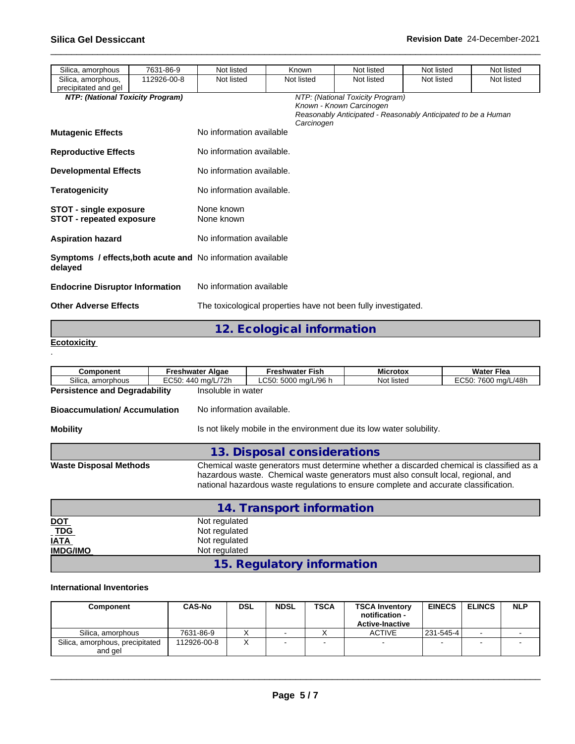| Silica, amorphous                                                | 7631-86-9   | Not listed                                                         | Known      | Not listed                                                   | Not listed                                                    | Not listed |  |
|------------------------------------------------------------------|-------------|--------------------------------------------------------------------|------------|--------------------------------------------------------------|---------------------------------------------------------------|------------|--|
| Silica, amorphous,<br>precipitated and gel                       | 112926-00-8 | Not listed                                                         | Not listed | Not listed                                                   | Not listed                                                    | Not listed |  |
| NTP: (National Toxicity Program)<br><b>Mutagenic Effects</b>     |             | No information available                                           | Carcinogen | NTP: (National Toxicity Program)<br>Known - Known Carcinogen | Reasonably Anticipated - Reasonably Anticipated to be a Human |            |  |
| <b>Reproductive Effects</b>                                      |             | No information available.                                          |            |                                                              |                                                               |            |  |
| <b>Developmental Effects</b>                                     |             | No information available.                                          |            |                                                              |                                                               |            |  |
| <b>Teratogenicity</b>                                            |             | No information available.                                          |            |                                                              |                                                               |            |  |
| <b>STOT - single exposure</b><br><b>STOT - repeated exposure</b> |             | None known<br>None known                                           |            |                                                              |                                                               |            |  |
| <b>Aspiration hazard</b>                                         |             | No information available                                           |            |                                                              |                                                               |            |  |
| delayed                                                          |             | <b>Symptoms / effects, both acute and No information available</b> |            |                                                              |                                                               |            |  |
| <b>Endocrine Disruptor Information</b>                           |             | No information available                                           |            |                                                              |                                                               |            |  |
| <b>Other Adverse Effects</b>                                     |             | The toxicological properties have not been fully investigated.     |            |                                                              |                                                               |            |  |

**12. Ecological information**

```
Ecotoxicity 
.
```

| <b>Component</b>                     | <b>Freshwater Algae</b> | <b>Freshwater Fish</b>                                                                                                                                                                                                                                                | <b>Microtox</b> | Water Flea |  |  |  |  |  |
|--------------------------------------|-------------------------|-----------------------------------------------------------------------------------------------------------------------------------------------------------------------------------------------------------------------------------------------------------------------|-----------------|------------|--|--|--|--|--|
| Silica, amorphous                    | EC50: 440 mg/L/72h      | LC50: 5000 mg/L/96 h<br>Not listed<br>EC50: 7600 mg/L/48h                                                                                                                                                                                                             |                 |            |  |  |  |  |  |
| <b>Persistence and Degradability</b> |                         | Insoluble in water<br>No information available.                                                                                                                                                                                                                       |                 |            |  |  |  |  |  |
| <b>Bioaccumulation/Accumulation</b>  |                         |                                                                                                                                                                                                                                                                       |                 |            |  |  |  |  |  |
| <b>Mobility</b>                      |                         | Is not likely mobile in the environment due its low water solubility.                                                                                                                                                                                                 |                 |            |  |  |  |  |  |
|                                      |                         | 13. Disposal considerations                                                                                                                                                                                                                                           |                 |            |  |  |  |  |  |
| <b>Waste Disposal Methods</b>        |                         | Chemical waste generators must determine whether a discarded chemical is classified as a<br>hazardous waste. Chemical waste generators must also consult local, regional, and<br>national hazardous waste regulations to ensure complete and accurate classification. |                 |            |  |  |  |  |  |
|                                      |                         | 14. Transport information                                                                                                                                                                                                                                             |                 |            |  |  |  |  |  |

|                           | 14. Transport information  |  |
|---------------------------|----------------------------|--|
|                           | Not regulated              |  |
| <u>DOT</u><br>T <u>DG</u> | Not regulated              |  |
| <b>IATA</b>               | Not regulated              |  |
| <b>IMDG/IMO</b>           | Not regulated              |  |
|                           | 15. Regulatory information |  |

### **International Inventories**

| Component                                  | <b>CAS-No</b> | <b>DSL</b> | <b>NDSL</b> | <b>TSCA</b> | <b>TSCA Inventory</b><br>notification -<br><b>Active-Inactive</b> | <b>EINECS</b>            | <b>ELINCS</b> | <b>NLP</b>               |
|--------------------------------------------|---------------|------------|-------------|-------------|-------------------------------------------------------------------|--------------------------|---------------|--------------------------|
| Silica, amorphous                          | 7631-86-9     |            |             |             | <b>ACTIVE</b>                                                     | 231-545-4                |               |                          |
| Silica, amorphous, precipitated<br>and gel | 112926-00-8   |            |             |             | -                                                                 | $\overline{\phantom{0}}$ |               | $\overline{\phantom{0}}$ |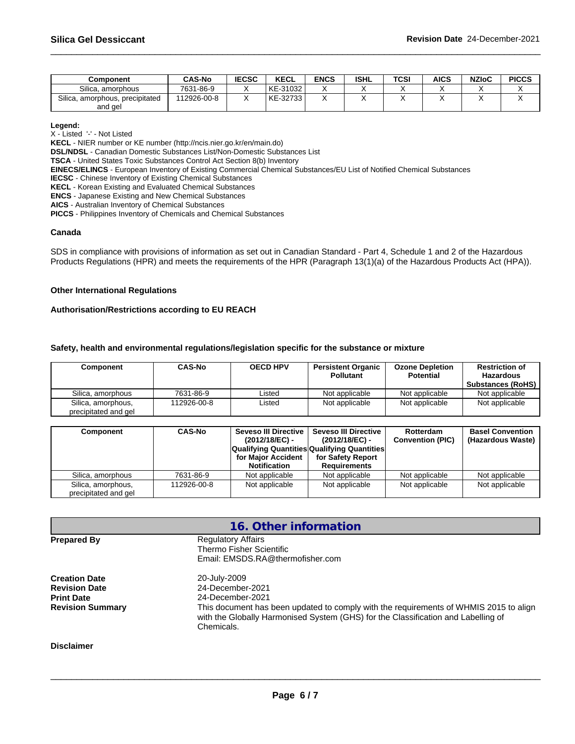| Component                       | <b>CAS-No</b> | <b>IECSC</b> | <b>KECL</b> | <b>ENCS</b> | <b>ISHL</b> | TCSI | <b>AICS</b> | <b>NZIoC</b> | <b>PICCS</b> |
|---------------------------------|---------------|--------------|-------------|-------------|-------------|------|-------------|--------------|--------------|
| Silica.<br>amorphous            | 7631-86-9     |              | KE-31032    |             |             |      |             |              |              |
| Silica, amorphous, precipitated | 12926-00-8    |              | KE-32733    |             |             |      |             |              |              |
| and gel                         |               |              |             |             |             |      |             |              |              |

#### **Legend:**

X - Listed '-' - Not Listed

**KECL** - NIER number or KE number (http://ncis.nier.go.kr/en/main.do)

**DSL/NDSL** - Canadian Domestic Substances List/Non-Domestic Substances List

**TSCA** - United States Toxic Substances Control Act Section 8(b) Inventory

**EINECS/ELINCS** - European Inventory of Existing Commercial Chemical Substances/EU List of Notified Chemical Substances

**IECSC** - Chinese Inventory of Existing Chemical Substances

**KECL** - Korean Existing and Evaluated Chemical Substances

**ENCS** - Japanese Existing and New Chemical Substances

**AICS** - Australian Inventory of Chemical Substances

**PICCS** - Philippines Inventory of Chemicals and Chemical Substances

#### **Canada**

SDS in compliance with provisions of information as set out in Canadian Standard - Part 4, Schedule 1 and 2 of the Hazardous Products Regulations (HPR) and meets the requirements of the HPR (Paragraph 13(1)(a) of the Hazardous Products Act (HPA)).

#### **Other International Regulations**

#### **Authorisation/Restrictions according to EU REACH**

#### **Safety, health and environmental regulations/legislation specific for the substance or mixture**

| Component                                  | <b>CAS-No</b> | <b>OECD HPV</b> | <b>Persistent Organic</b><br><b>Pollutant</b> | <b>Ozone Depletion</b><br><b>Potential</b> | <b>Restriction of</b><br>Hazardous<br><b>Substances (RoHS)</b> |
|--------------------------------------------|---------------|-----------------|-----------------------------------------------|--------------------------------------------|----------------------------------------------------------------|
| Silica, amorphous                          | 7631-86-9     | Listed          | Not applicable                                | Not applicable                             | Not applicable                                                 |
| Silica, amorphous,<br>precipitated and gel | 112926-00-8   | Listed          | Not applicable                                | Not applicable                             | Not applicable                                                 |

| <b>CAS-No</b><br>Component |             | Seveso III Directive  <br>(2012/18/EC) -<br><b>Qualifying Quantities Qualifying Quantities</b> | Seveso III Directive<br>(2012/18/EC) - | Rotterdam<br><b>Convention (PIC)</b> | <b>Basel Convention</b><br>(Hazardous Waste) |  |
|----------------------------|-------------|------------------------------------------------------------------------------------------------|----------------------------------------|--------------------------------------|----------------------------------------------|--|
|                            |             | for Maior Accident                                                                             | for Safety Report                      |                                      |                                              |  |
|                            |             | <b>Notification</b>                                                                            | Requirements                           |                                      |                                              |  |
| Silica, amorphous          | 7631-86-9   | Not applicable                                                                                 | Not applicable                         | Not applicable                       | Not applicable                               |  |
| Silica, amorphous,         | 112926-00-8 | Not applicable                                                                                 | Not applicable                         | Not applicable                       | Not applicable                               |  |
| precipitated and gel       |             |                                                                                                |                                        |                                      |                                              |  |

|                                                                                              | 16. Other information                                                                                                                                                                                                                            |  |  |  |  |  |  |
|----------------------------------------------------------------------------------------------|--------------------------------------------------------------------------------------------------------------------------------------------------------------------------------------------------------------------------------------------------|--|--|--|--|--|--|
| <b>Prepared By</b>                                                                           | <b>Regulatory Affairs</b><br>Thermo Fisher Scientific<br>Email: EMSDS.RA@thermofisher.com                                                                                                                                                        |  |  |  |  |  |  |
| <b>Creation Date</b><br><b>Revision Date</b><br><b>Print Date</b><br><b>Revision Summary</b> | 20-July-2009<br>24-December-2021<br>24-December-2021<br>This document has been updated to comply with the requirements of WHMIS 2015 to align<br>with the Globally Harmonised System (GHS) for the Classification and Labelling of<br>Chemicals. |  |  |  |  |  |  |
| <b>Disclaimer</b>                                                                            |                                                                                                                                                                                                                                                  |  |  |  |  |  |  |